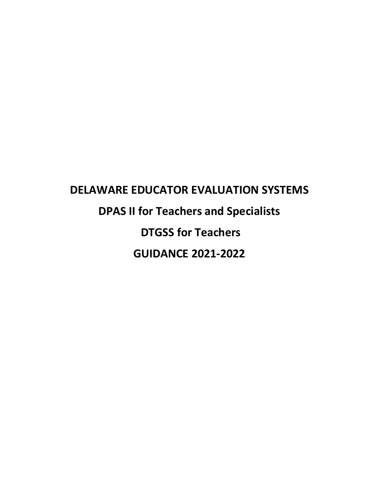# **DELAWARE EDUCATOR EVALUATION SYSTEMS DPAS II for Teachers and Specialists DTGSS for Teachers GUIDANCE 2021-2022**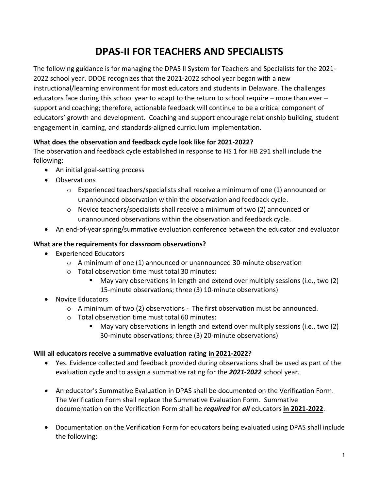# **DPAS-II FOR TEACHERS AND SPECIALISTS**

The following guidance is for managing the DPAS II System for Teachers and Specialists for the 2021- 2022 school year. DDOE recognizes that the 2021-2022 school year began with a new instructional/learning environment for most educators and students in Delaware. The challenges educators face during this school year to adapt to the return to school require – more than ever – support and coaching; therefore, actionable feedback will continue to be a critical component of educators' growth and development. Coaching and support encourage relationship building, student engagement in learning, and standards-aligned curriculum implementation.

#### **What does the observation and feedback cycle look like for 2021-2022?**

The observation and feedback cycle established in response to HS 1 for HB 291 shall include the following:

- An initial goal-setting process
- Observations
	- $\circ$  Experienced teachers/specialists shall receive a minimum of one (1) announced or unannounced observation within the observation and feedback cycle.
	- $\circ$  Novice teachers/specialists shall receive a minimum of two (2) announced or unannounced observations within the observation and feedback cycle.
- An end-of-year spring/summative evaluation conference between the educator and evaluator

## **What are the requirements for classroom observations?**

- Experienced Educators
	- $\circ$  A minimum of one (1) announced or unannounced 30-minute observation
	- o Total observation time must total 30 minutes:
		- May vary observations in length and extend over multiply sessions (i.e., two  $(2)$ ) 15-minute observations; three (3) 10-minute observations)
- Novice Educators
	- $\circ$  A minimum of two (2) observations The first observation must be announced.
	- o Total observation time must total 60 minutes:
		- May vary observations in length and extend over multiply sessions (i.e., two (2) 30-minute observations; three (3) 20-minute observations)

#### **Will all educators receive a summative evaluation rating in 2021-2022?**

- Yes. Evidence collected and feedback provided during observations shall be used as part of the evaluation cycle and to assign a summative rating for the *2021-2022* school year.
- An educator's Summative Evaluation in DPAS shall be documented on the Verification Form. The Verification Form shall replace the Summative Evaluation Form. Summative documentation on the Verification Form shall be *required* for *all* educators **in 2021-2022**.
- Documentation on the Verification Form for educators being evaluated using DPAS shall include the following: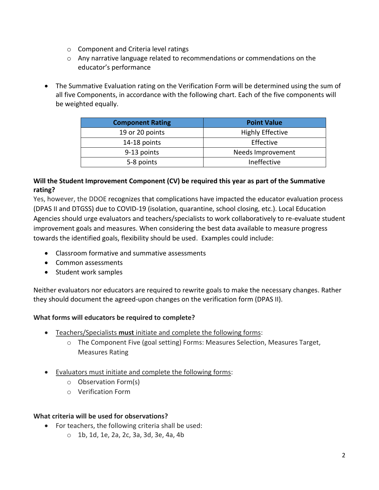- o Component and Criteria level ratings
- $\circ$  Any narrative language related to recommendations or commendations on the educator's performance
- The Summative Evaluation rating on the Verification Form will be determined using the sum of all five Components, in accordance with the following chart. Each of the five components will be weighted equally.

| <b>Component Rating</b> | <b>Point Value</b>      |
|-------------------------|-------------------------|
| 19 or 20 points         | <b>Highly Effective</b> |
| 14-18 points            | Effective               |
| 9-13 points             | Needs Improvement       |
| 5-8 points              | Ineffective             |

## **Will the Student Improvement Component (CV) be required this year as part of the Summative rating?**

Yes, however, the DDOE recognizes that complications have impacted the educator evaluation process (DPAS II and DTGSS) due to COVID-19 (isolation, quarantine, school closing, etc.). Local Education Agencies should urge evaluators and teachers/specialists to work collaboratively to re-evaluate student improvement goals and measures. When considering the best data available to measure progress towards the identified goals, flexibility should be used. Examples could include:

- Classroom formative and summative assessments
- Common assessments
- Student work samples

Neither evaluators nor educators are required to rewrite goals to make the necessary changes. Rather they should document the agreed-upon changes on the verification form (DPAS II).

## **What forms will educators be required to complete?**

- Teachers/Specialists **must** initiate and complete the following forms:
	- o The Component Five (goal setting) Forms: Measures Selection, Measures Target, Measures Rating
- Evaluators must initiate and complete the following forms:
	- o Observation Form(s)
	- o Verification Form

#### **What criteria will be used for observations?**

- For teachers, the following criteria shall be used:
	- o 1b, 1d, 1e, 2a, 2c, 3a, 3d, 3e, 4a, 4b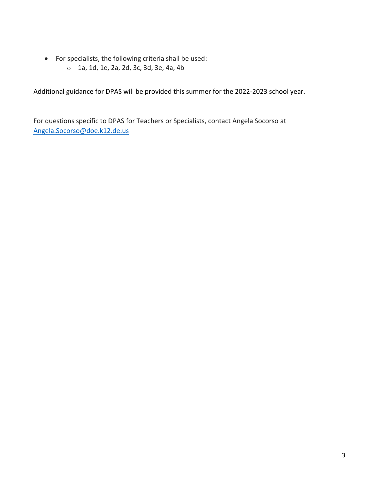- For specialists, the following criteria shall be used:
	- o 1a, 1d, 1e, 2a, 2d, 3c, 3d, 3e, 4a, 4b

Additional guidance for DPAS will be provided this summer for the 2022-2023 school year.

For questions specific to DPAS for Teachers or Specialists, contact Angela Socorso at [Angela.Socorso@doe.k12.de.us](mailto:Angela.Socorso@doe.k12.de.us)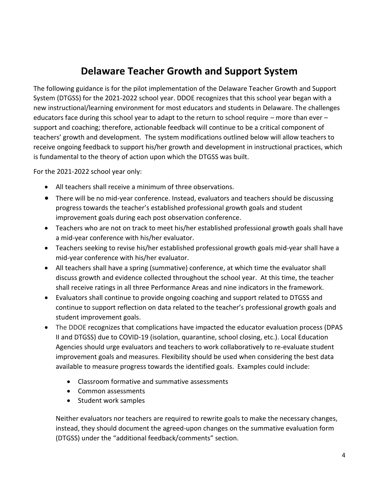# **Delaware Teacher Growth and Support System**

The following guidance is for the pilot implementation of the Delaware Teacher Growth and Support System (DTGSS) for the 2021-2022 school year. DDOE recognizes that this school year began with a new instructional/learning environment for most educators and students in Delaware. The challenges educators face during this school year to adapt to the return to school require – more than ever – support and coaching; therefore, actionable feedback will continue to be a critical component of teachers' growth and development. The system modifications outlined below will allow teachers to receive ongoing feedback to support his/her growth and development in instructional practices, which is fundamental to the theory of action upon which the DTGSS was built.

For the 2021-2022 school year only:

- All teachers shall receive a minimum of three observations.
- There will be no mid-year conference. Instead, evaluators and teachers should be discussing progress towards the teacher's established professional growth goals and student improvement goals during each post observation conference.
- Teachers who are not on track to meet his/her established professional growth goals shall have a mid-year conference with his/her evaluator.
- Teachers seeking to revise his/her established professional growth goals mid-year shall have a mid-year conference with his/her evaluator.
- All teachers shall have a spring (summative) conference, at which time the evaluator shall discuss growth and evidence collected throughout the school year. At this time, the teacher shall receive ratings in all three Performance Areas and nine indicators in the framework.
- Evaluators shall continue to provide ongoing coaching and support related to DTGSS and continue to support reflection on data related to the teacher's professional growth goals and student improvement goals.
- The DDOE recognizes that complications have impacted the educator evaluation process (DPAS II and DTGSS) due to COVID-19 (isolation, quarantine, school closing, etc.). Local Education Agencies should urge evaluators and teachers to work collaboratively to re-evaluate student improvement goals and measures. Flexibility should be used when considering the best data available to measure progress towards the identified goals. Examples could include:
	- Classroom formative and summative assessments
	- Common assessments
	- Student work samples

Neither evaluators nor teachers are required to rewrite goals to make the necessary changes, instead, they should document the agreed-upon changes on the summative evaluation form (DTGSS) under the "additional feedback/comments" section.